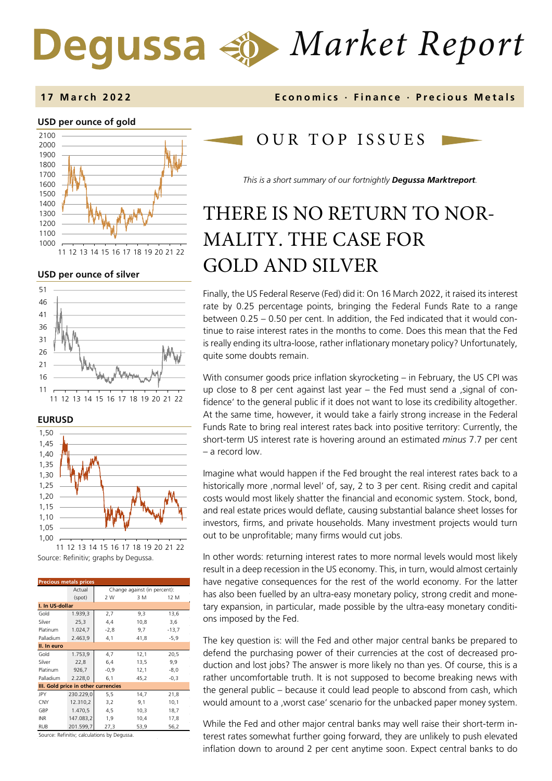# *Market Report* Degussa



**USD per ounce of silver** 







Source: Refinitiv; graphs by Degussa. 11 12 13 14 15 16 17 18 19 20 21 22

| <b>Precious metals prices</b>       |           |                              |      |         |  |
|-------------------------------------|-----------|------------------------------|------|---------|--|
|                                     | Actual    | Change against (in percent): |      |         |  |
|                                     | (spot)    | 2 W                          | 3 M  | 12 M    |  |
| I. In US-dollar                     |           |                              |      |         |  |
| Gold                                | 1.939,3   | 2,7                          | 9,3  | 13,6    |  |
| Silver                              | 25,3      | 4,4                          | 10,8 | 3,6     |  |
| Platinum                            | 1.024,7   | $-2,8$                       | 9,7  | $-13,7$ |  |
| Palladium                           | 2.463,9   | 4,1                          | 41,8 | $-5,9$  |  |
| II. In euro                         |           |                              |      |         |  |
| Gold                                | 1.753,9   | 4,7                          | 12,1 | 20,5    |  |
| Silver                              | 22,8      | 6,4                          | 13,5 | 9,9     |  |
| Platinum                            | 926,7     | $-0,9$                       | 12,1 | $-8,0$  |  |
| Palladium                           | 2.228,0   | 6,1                          | 45,2 | $-0.3$  |  |
| III. Gold price in other currencies |           |                              |      |         |  |
| JPY                                 | 230.229,0 | 5,5                          | 14,7 | 21,8    |  |
| <b>CNY</b>                          | 12.310,2  | 3,2                          | 9,1  | 10,1    |  |
| GBP                                 | 1.470,5   | 4,5                          | 10,3 | 18,7    |  |
| <b>INR</b>                          | 147.083,2 | 1,9                          | 10,4 | 17,8    |  |
| <b>RUB</b>                          | 201.599,7 | 27,3                         | 53,9 | 56,2    |  |

Source: Refinitiv; calculations by Degussa.

### **1 7 March 202 2 Economics · Finance · Precious Metals**

## OUR TOP ISSUE S

*This is a short summary of our fortnightly Degussa Marktreport.* 

# THERE IS NO RETURN TO NOR-MALITY. THE CASE FOR GOLD AND SILVER

Finally, the US Federal Reserve (Fed) did it: On 16 March 2022, it raised its interest rate by 0.25 percentage points, bringing the Federal Funds Rate to a range between 0.25 – 0.50 per cent. In addition, the Fed indicated that it would continue to raise interest rates in the months to come. Does this mean that the Fed is really ending its ultra-loose, rather inflationary monetary policy? Unfortunately, quite some doubts remain.

With consumer goods price inflation skyrocketing – in February, the US CPI was up close to 8 per cent against last year  $-$  the Fed must send a , signal of confidence' to the general public if it does not want to lose its credibility altogether. At the same time, however, it would take a fairly strong increase in the Federal Funds Rate to bring real interest rates back into positive territory: Currently, the short-term US interest rate is hovering around an estimated *minus* 7.7 per cent – a record low.

Imagine what would happen if the Fed brought the real interest rates back to a historically more ,normal level' of, say, 2 to 3 per cent. Rising credit and capital costs would most likely shatter the financial and economic system. Stock, bond, and real estate prices would deflate, causing substantial balance sheet losses for investors, firms, and private households. Many investment projects would turn out to be unprofitable; many firms would cut jobs.

In other words: returning interest rates to more normal levels would most likely result in a deep recession in the US economy. This, in turn, would almost certainly have negative consequences for the rest of the world economy. For the latter has also been fuelled by an ultra-easy monetary policy, strong credit and monetary expansion, in particular, made possible by the ultra-easy monetary conditions imposed by the Fed.

The key question is: will the Fed and other major central banks be prepared to defend the purchasing power of their currencies at the cost of decreased production and lost jobs? The answer is more likely no than yes. Of course, this is a rather uncomfortable truth. It is not supposed to become breaking news with the general public – because it could lead people to abscond from cash, which would amount to a , worst case' scenario for the unbacked paper money system.

While the Fed and other major central banks may well raise their short-term interest rates somewhat further going forward, they are unlikely to push elevated inflation down to around 2 per cent anytime soon. Expect central banks to do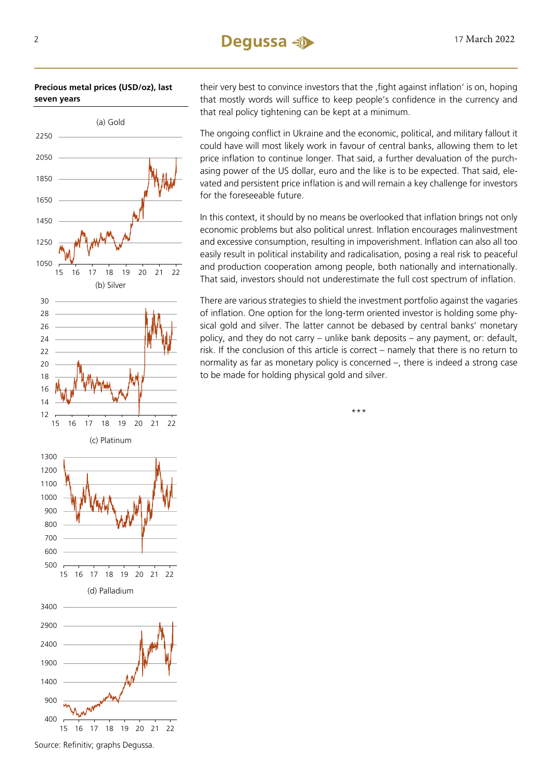#### **Precious metal prices (USD/oz), last seven years**



their very best to convince investors that the fight against inflation' is on, hoping that mostly words will suffice to keep people's confidence in the currency and that real policy tightening can be kept at a minimum.

The ongoing conflict in Ukraine and the economic, political, and military fallout it could have will most likely work in favour of central banks, allowing them to let price inflation to continue longer. That said, a further devaluation of the purchasing power of the US dollar, euro and the like is to be expected. That said, elevated and persistent price inflation is and will remain a key challenge for investors for the foreseeable future.

In this context, it should by no means be overlooked that inflation brings not only economic problems but also political unrest. Inflation encourages malinvestment and excessive consumption, resulting in impoverishment. Inflation can also all too easily result in political instability and radicalisation, posing a real risk to peaceful and production cooperation among people, both nationally and internationally. That said, investors should not underestimate the full cost spectrum of inflation.

There are various strategies to shield the investment portfolio against the vagaries of inflation. One option for the long-term oriented investor is holding some physical gold and silver. The latter cannot be debased by central banks' monetary policy, and they do not carry – unlike bank deposits – any payment, or: default, risk. If the conclusion of this article is correct – namely that there is no return to normality as far as monetary policy is concerned –, there is indeed a strong case to be made for holding physical gold and silver.

\*\*\*

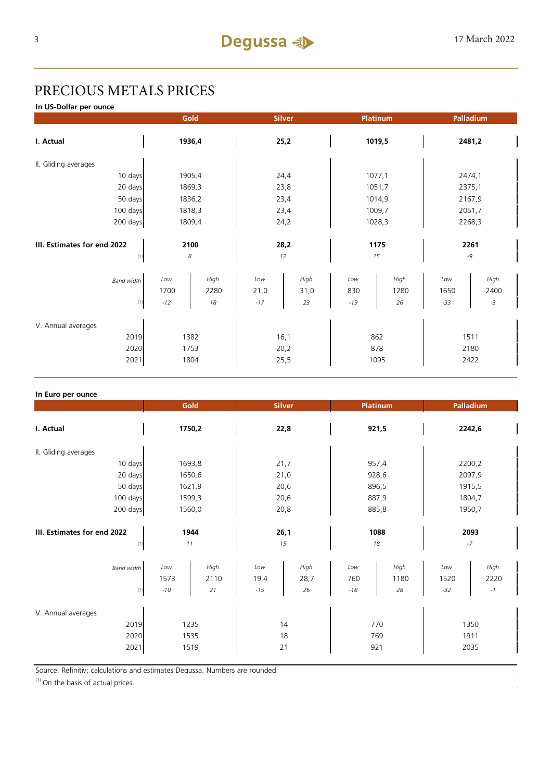# PRECIOUS METALS PRICES

**In US-Dollar per ounce**

|                                            | Gold                                       | <b>Silver</b>                              | Platinum                                  | Palladium                                    |  |
|--------------------------------------------|--------------------------------------------|--------------------------------------------|-------------------------------------------|----------------------------------------------|--|
| I. Actual                                  | 1936,4                                     | 25,2                                       | 1019,5                                    | 2481,2                                       |  |
| II. Gliding averages                       |                                            |                                            |                                           |                                              |  |
| 10 days                                    | 1905,4                                     | 24,4                                       | 1077,1                                    | 2474,1                                       |  |
| 20 days                                    | 1869,3                                     | 23,8                                       | 1051,7                                    | 2375,1                                       |  |
| 50 days                                    | 1836,2                                     | 23,4                                       | 1014,9                                    | 2167,9                                       |  |
| 100 days                                   | 1818,3                                     | 23,4                                       | 1009,7                                    | 2051,7                                       |  |
| 200 days                                   | 1809,4                                     | 24,2                                       | 1028,3                                    | 2268,3                                       |  |
| III. Estimates for end 2022<br>(1)         | 2100<br>8                                  |                                            | 1175<br>15                                | 2261<br>$-9$                                 |  |
| <b>Band width</b><br>(1)                   | High<br>Low<br>1700<br>2280<br>$-12$<br>18 | Low<br>High<br>21,0<br>31,0<br>$-17$<br>23 | High<br>Low<br>830<br>1280<br>$-19$<br>26 | High<br>Low<br>1650<br>2400<br>$-33$<br>$-3$ |  |
| V. Annual averages<br>2019<br>2020<br>2021 | 1382<br>1753<br>1804                       | 16,1<br>20,2<br>25,5                       | 862<br>878<br>1095                        | 1511<br>2180<br>2422                         |  |

| In Euro per ounce                          |                      |                    |                      |                    |                     |                    |                      |                             |  |
|--------------------------------------------|----------------------|--------------------|----------------------|--------------------|---------------------|--------------------|----------------------|-----------------------------|--|
|                                            | Gold                 |                    | <b>Silver</b>        |                    | <b>Platinum</b>     |                    | Palladium            |                             |  |
| I. Actual                                  | 1750,2               |                    | 22,8                 |                    | 921,5               |                    | 2242,6               |                             |  |
| II. Gliding averages                       |                      |                    |                      |                    |                     |                    |                      |                             |  |
| 10 days                                    | 1693,8               |                    | 21,7                 |                    | 957,4               |                    | 2200,2               |                             |  |
| 20 days                                    |                      | 1650,6             |                      | 21,0               |                     | 928,6              |                      | 2097,9                      |  |
| 50 days                                    |                      | 1621,9             |                      | 20,6               |                     | 896,5              |                      | 1915,5                      |  |
| 100 days                                   |                      | 1599,3             |                      | 20,6               |                     | 887,9              |                      | 1804,7                      |  |
| 200 days                                   | 1560,0               |                    | 20,8                 |                    | 885,8               |                    | 1950,7               |                             |  |
| III. Estimates for end 2022<br>(1)         | 1944<br>11           |                    | 26,1<br>15           |                    | 1088<br>18          |                    | 2093<br>$-7$         |                             |  |
| <b>Band width</b><br>(1)                   | Low<br>1573<br>$-10$ | High<br>2110<br>21 | Low<br>19,4<br>$-15$ | High<br>28,7<br>26 | Low<br>760<br>$-18$ | High<br>1180<br>28 | Low<br>1520<br>$-32$ | High<br>2220<br>$^{\rm -1}$ |  |
| V. Annual averages<br>2019<br>2020<br>2021 | 1235<br>1535<br>1519 |                    | 14<br>18<br>21       |                    | 770<br>769<br>921   |                    | 1350<br>1911<br>2035 |                             |  |

Source: Refinitiv; calculations and estimates Degussa. Numbers are rounded.

 $(1)$  On the basis of actual prices.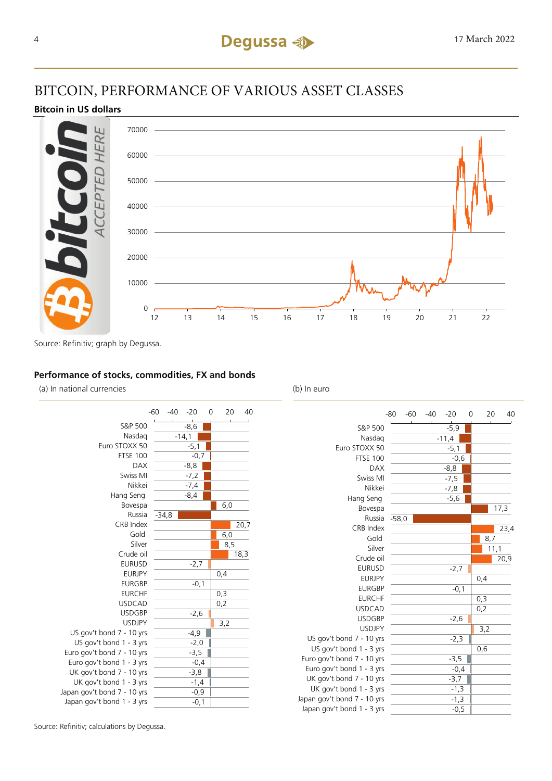# BITCOIN, PERFORMANCE OF VARIOUS ASSET CLASSES

#### **Bitcoin in US dollars**



Source: Refinitiv; graph by Degussa.

#### **Performance of stocks, commodities, FX and bonds**

(a) In national currencies (b) In euro



|                             | $-80$   | $-60$ | $-40$ | $-20$   | 0 | 20   | 40   |
|-----------------------------|---------|-------|-------|---------|---|------|------|
| S&P 500                     |         |       |       | $-5,9$  |   |      |      |
| Nasdag                      |         |       |       | $-11,4$ |   |      |      |
| Euro STOXX 50               |         |       |       | $-5,1$  |   |      |      |
| <b>FTSE 100</b>             |         |       |       | $-0,6$  |   |      |      |
| <b>DAX</b>                  |         |       |       | $-8,8$  |   |      |      |
| Swiss MI                    |         |       |       | $-7,5$  |   |      |      |
| Nikkei                      |         |       |       | $-7,8$  |   |      |      |
| Hang Seng                   |         |       |       | $-5,6$  |   |      |      |
| Bovespa                     |         |       |       |         |   |      | 17,3 |
| Russia                      | $-58,0$ |       |       |         |   |      |      |
| CRB Index                   |         |       |       |         |   |      | 23,4 |
| Gold                        |         |       |       |         |   | 8,7  |      |
| Silver                      |         |       |       |         |   | 11,1 |      |
| Crude oil                   |         |       |       |         |   |      | 20,9 |
| <b>EURUSD</b>               |         |       |       | $-2,7$  |   |      |      |
| <b>EURJPY</b>               |         |       |       |         |   | 0,4  |      |
| <b>EURGBP</b>               |         |       |       | $-0,1$  |   |      |      |
| <b>EURCHF</b>               |         |       |       |         |   | 0,3  |      |
| <b>USDCAD</b>               |         |       |       |         |   | 0,2  |      |
| <b>USDGBP</b>               |         |       |       | $-2,6$  |   |      |      |
| <b>USDJPY</b>               |         |       |       |         |   | 3,2  |      |
| US gov't bond 7 - 10 yrs    |         |       |       | $-2,3$  |   |      |      |
| US gov't bond 1 - 3 yrs     |         |       |       |         |   | 0,6  |      |
| Euro gov't bond 7 - 10 yrs  |         |       |       | $-3,5$  |   |      |      |
| Euro gov't bond 1 - 3 yrs   |         |       |       | $-0,4$  |   |      |      |
| UK gov't bond 7 - 10 yrs    |         |       |       | $-3,7$  |   |      |      |
| UK gov't bond 1 - 3 yrs     |         |       |       | $-1,3$  |   |      |      |
| Japan gov't bond 7 - 10 yrs |         |       |       | $-1,3$  |   |      |      |
| Japan gov't bond 1 - 3 yrs  |         |       |       | $-0,5$  |   |      |      |

Source: Refinitiv; calculations by Degussa.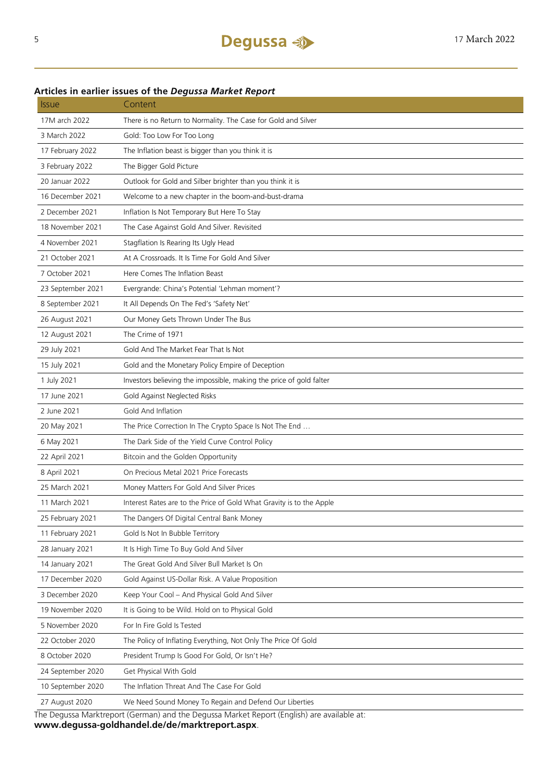### **Articles in earlier issues of the** *Degussa Market Report*

| <i><b>Issue</b></i> | Content                                                                                    |  |  |  |
|---------------------|--------------------------------------------------------------------------------------------|--|--|--|
| 17M arch 2022       | There is no Return to Normality. The Case for Gold and Silver                              |  |  |  |
| 3 March 2022        | Gold: Too Low For Too Long                                                                 |  |  |  |
| 17 February 2022    | The Inflation beast is bigger than you think it is                                         |  |  |  |
| 3 February 2022     | The Bigger Gold Picture                                                                    |  |  |  |
| 20 Januar 2022      | Outlook for Gold and Silber brighter than you think it is                                  |  |  |  |
| 16 December 2021    | Welcome to a new chapter in the boom-and-bust-drama                                        |  |  |  |
| 2 December 2021     | Inflation Is Not Temporary But Here To Stay                                                |  |  |  |
| 18 November 2021    | The Case Against Gold And Silver. Revisited                                                |  |  |  |
| 4 November 2021     | Stagflation Is Rearing Its Ugly Head                                                       |  |  |  |
| 21 October 2021     | At A Crossroads. It Is Time For Gold And Silver                                            |  |  |  |
| 7 October 2021      | Here Comes The Inflation Beast                                                             |  |  |  |
| 23 September 2021   | Evergrande: China's Potential 'Lehman moment'?                                             |  |  |  |
| 8 September 2021    | It All Depends On The Fed's 'Safety Net'                                                   |  |  |  |
| 26 August 2021      | Our Money Gets Thrown Under The Bus                                                        |  |  |  |
| 12 August 2021      | The Crime of 1971                                                                          |  |  |  |
| 29 July 2021        | Gold And The Market Fear That Is Not                                                       |  |  |  |
| 15 July 2021        | Gold and the Monetary Policy Empire of Deception                                           |  |  |  |
| 1 July 2021         | Investors believing the impossible, making the price of gold falter                        |  |  |  |
| 17 June 2021        | Gold Against Neglected Risks                                                               |  |  |  |
| 2 June 2021         | Gold And Inflation                                                                         |  |  |  |
| 20 May 2021         | The Price Correction In The Crypto Space Is Not The End                                    |  |  |  |
| 6 May 2021          | The Dark Side of the Yield Curve Control Policy                                            |  |  |  |
| 22 April 2021       | Bitcoin and the Golden Opportunity                                                         |  |  |  |
| 8 April 2021        | On Precious Metal 2021 Price Forecasts                                                     |  |  |  |
| 25 March 2021       | Money Matters For Gold And Silver Prices                                                   |  |  |  |
| 11 March 2021       | Interest Rates are to the Price of Gold What Gravity is to the Apple                       |  |  |  |
| 25 February 2021    | The Dangers Of Digital Central Bank Money                                                  |  |  |  |
| 11 February 2021    | Gold Is Not In Bubble Territory                                                            |  |  |  |
| 28 January 2021     | It Is High Time To Buy Gold And Silver                                                     |  |  |  |
| 14 January 2021     | The Great Gold And Silver Bull Market Is On                                                |  |  |  |
| 17 December 2020    | Gold Against US-Dollar Risk. A Value Proposition                                           |  |  |  |
| 3 December 2020     | Keep Your Cool - And Physical Gold And Silver                                              |  |  |  |
| 19 November 2020    | It is Going to be Wild. Hold on to Physical Gold                                           |  |  |  |
| 5 November 2020     | For In Fire Gold Is Tested                                                                 |  |  |  |
| 22 October 2020     | The Policy of Inflating Everything, Not Only The Price Of Gold                             |  |  |  |
| 8 October 2020      | President Trump Is Good For Gold, Or Isn't He?                                             |  |  |  |
| 24 September 2020   | Get Physical With Gold                                                                     |  |  |  |
| 10 September 2020   | The Inflation Threat And The Case For Gold                                                 |  |  |  |
| 27 August 2020      | We Need Sound Money To Regain and Defend Our Liberties                                     |  |  |  |
|                     | The Degussa Marktreport (German) and the Degussa Market Report (English) are available at: |  |  |  |

The Degussa Marktreport (German) and the Degussa Market Report (English) are available at: **www.degussa-goldhandel.de/de/marktreport.aspx**.